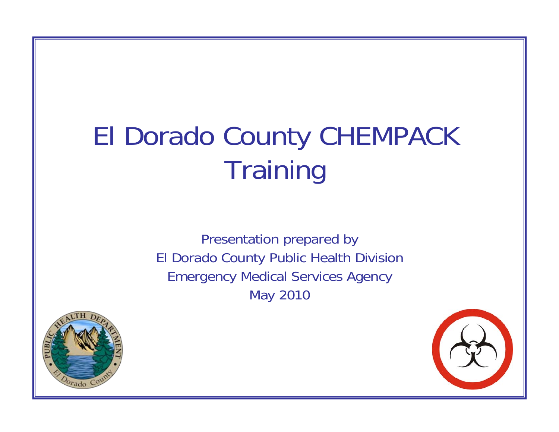# El Dorado County CHEMPACK **Training**

Presentation prepared by El Dorado County Public Health Division Emergency Medical Services Agency May 2010



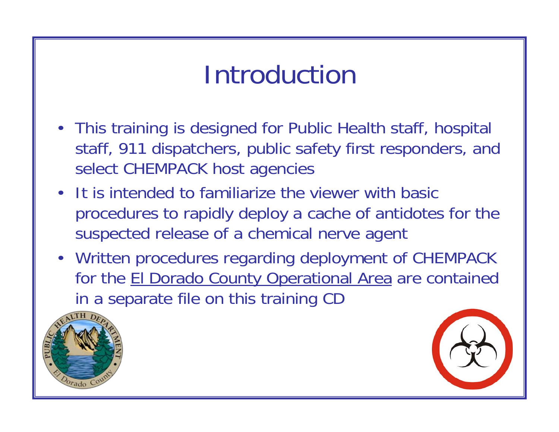# Introduction

- This training is designed for Public Health staff, hospital staff, 911 dispatchers, public safety first responders, and select CHEMPACK host agencies
- It is intended to familiarize the viewer with basic procedures to rapidly deploy a cache of antidotes for the suspected release of a chemical nerve agent
- Written procedures regarding deployment of CHEMPACK for the El Dorado County Operational Area are contained in a separate file on this training CD



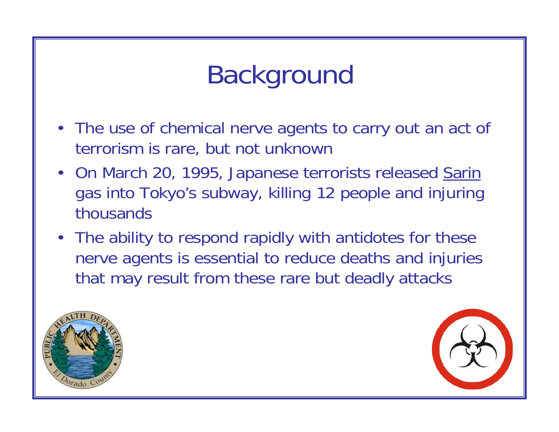# Background

- The use of chemical nerve agents to carry out an act of terrorism is rare, but not unknown
- On March 20, 1995, Japanese terrorists released Sarin gas into Tokyo's subway, killing 12 people and injuring thousands
- The ability to respond rapidly with antidotes for these nerve agents is essential to reduce deaths and injuries that may result from these rare but deadly attacks



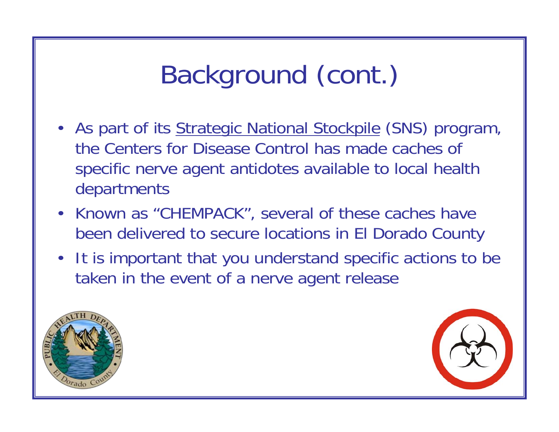# Background (cont.)

- As part of its **Strategic National Stockpile (SNS)** program, the Centers for Disease Control has made caches of specific nerve agent antidotes available to local health departments
- Known as "CHEMPACK", several of these caches have been delivered to secure locations in El Dorado County
- It is important that you understand specific actions to be taken in the event of a nerve agent release



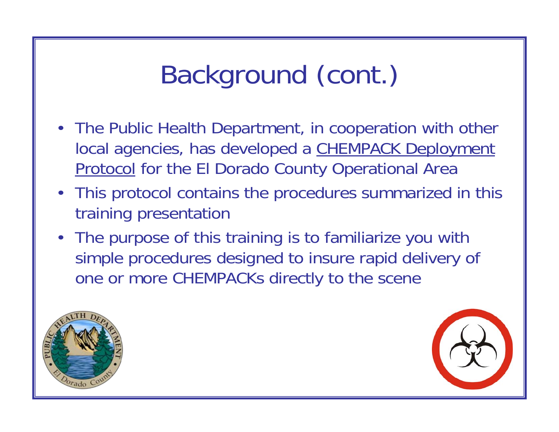# Background (cont.)

- The Public Health Department, in cooperation with other local agencies, has developed a CHEMPACK Deployment Protocol for the El Dorado County Operational Area
- This protocol contains the procedures summarized in this training presentation
- The purpose of this training is to familiarize you with simple procedures designed to insure rapid delivery of one or more CHEMPACKs directly to the scene



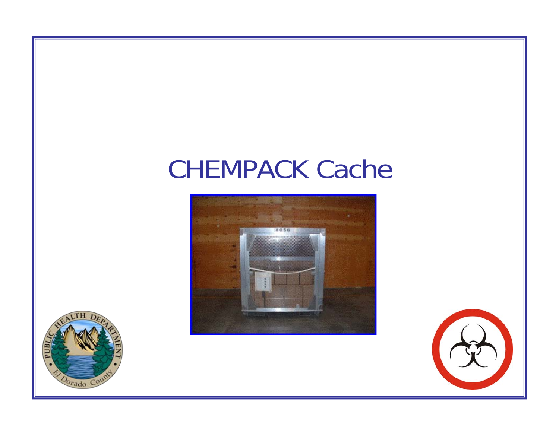#### CHEMPACK Cache





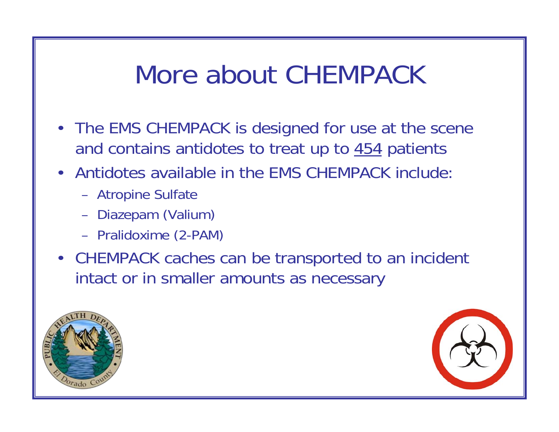#### More about CHEMPACK

- The EMS CHEMPACK is designed for use at the scene and contains antidotes to treat up to 454 patients
- Antidotes available in the EMS CHEMPACK include:
	- Atropine Sulfate
	- Diazepam (Valium)
	- Pralidoxime (2-PAM)
- CHEMPACK caches can be transported to an incident intact or in smaller amounts as necessary



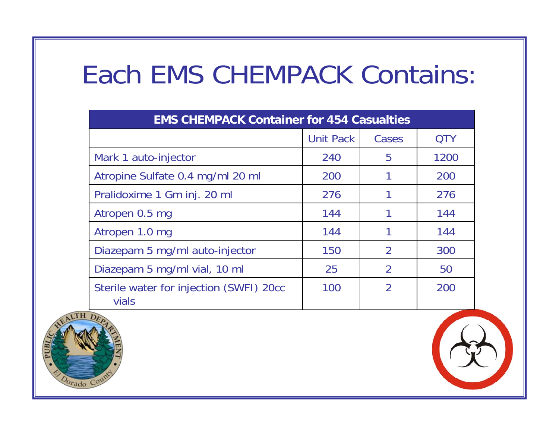#### Each EMS CHEMPACK Contains:

| <b>EMS CHEMPACK Container for 454 Casualties</b> |                  |                |            |
|--------------------------------------------------|------------------|----------------|------------|
|                                                  | <b>Unit Pack</b> | Cases          | <b>QTY</b> |
| Mark 1 auto-injector                             | 240              | 5              | 1200       |
| Atropine Sulfate 0.4 mg/ml 20 ml                 | 200              |                | 200        |
| Pralidoxime 1 Gm inj. 20 ml                      | 276              |                | 276        |
| Atropen 0.5 mg                                   | 144              |                | 144        |
| Atropen 1.0 mg                                   | 144              |                | 144        |
| Diazepam 5 mg/ml auto-injector                   | 150              | $\mathcal{P}$  | 300        |
| Diazepam 5 mg/ml vial, 10 ml                     | 25               | 2              | 50         |
| Sterile water for injection (SWFI) 20cc<br>vials | 100              | $\overline{2}$ | 200        |

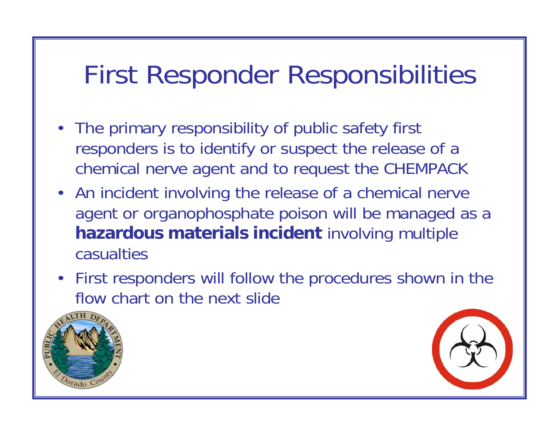#### First Responder Responsibilities

- The primary responsibility of public safety first responders is to identify or suspect the release of a chemical nerve agent and to request the CHEMPACK
- An incident involving the release of a chemical nerve agent or organophosphate poison will be managed as a **hazardous materials incident** involving multiple casualties
- First responders will follow the procedures shown in the flow chart on the next slide



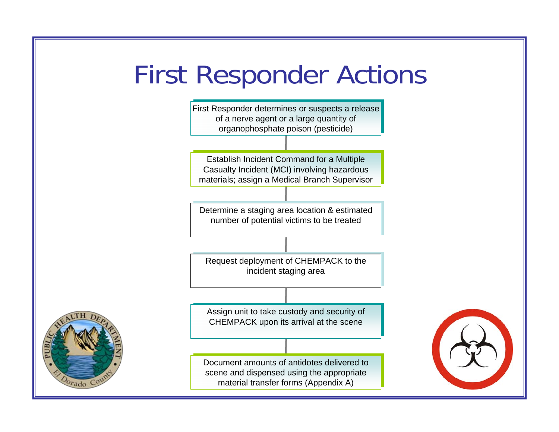#### First Responder Actions

First Responder determines or suspects a release of a nerve agent or a large quantity of of a nerve agent or a large quantity of organophosphate poison (pesticide) organophosphate poison (pesticide)

Establish Incident Command for a Multiple Establish Incident Command for a Multiple Casualty Incident (MCI) involving hazardous Casualty Incident (MCI) involving hazardous materials; assign a Medical Branch Supervisor materials; assign a Medical Branch Supervisor

Determine a staging area location & estimated Determine a staging area location & estimated number of potential victims to be treated number of potential victims to be treated

Request deployment of CHEMPACK to the Request deployment of CHEMPACK to the incident staging area incident staging area

Assign unit to take custody and security of CHEMPACK upon its arrival at the scene

Document amounts of antidotes delivered to scene and dispensed using the appropriate scene and dispensed using the appropriate material transfer forms (Appendix A) material transfer forms (Appendix A)



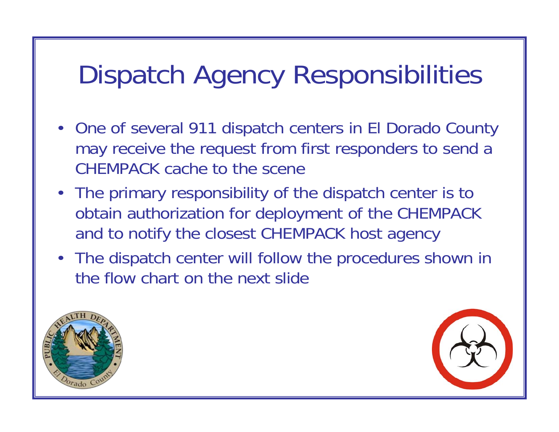#### Dispatch Agency Responsibilities

- One of several 911 dispatch centers in El Dorado County may receive the request from first responders to send a CHEMPACK cache to the scene
- The primary responsibility of the dispatch center is to obtain authorization for deployment of the CHEMPACK and to notify the closest CHEMPACK host agency
- The dispatch center will follow the procedures shown in the flow chart on the next slide



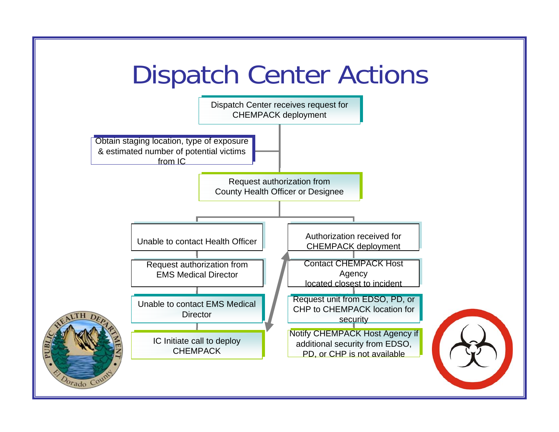#### Dispatch Center Actions



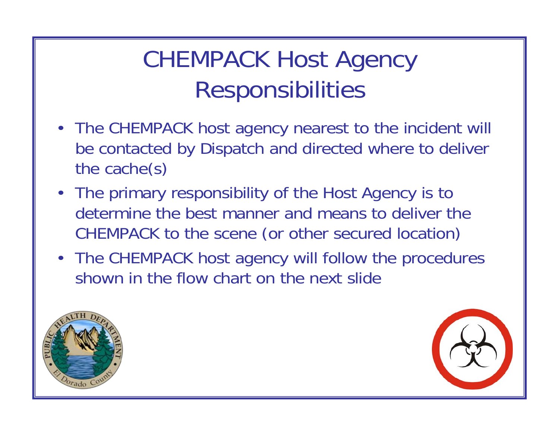#### CHEMPACK Host Agency Responsibilities

- The CHEMPACK host agency nearest to the incident will be contacted by Dispatch and directed where to deliver the cache(s)
- The primary responsibility of the Host Agency is to determine the best manner and means to deliver the CHEMPACK to the scene (or other secured location)
- The CHEMPACK host agency will follow the procedures shown in the flow chart on the next slide



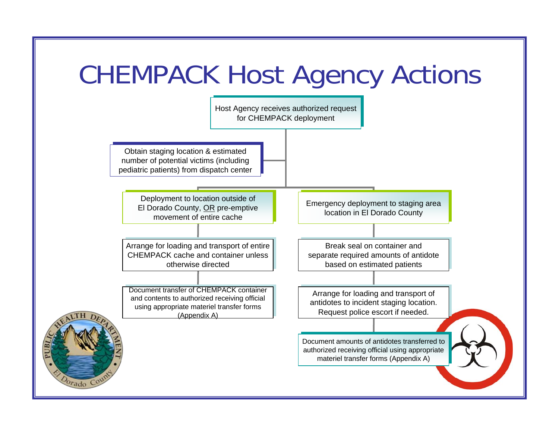# CHEMPACK Host Agency Actions



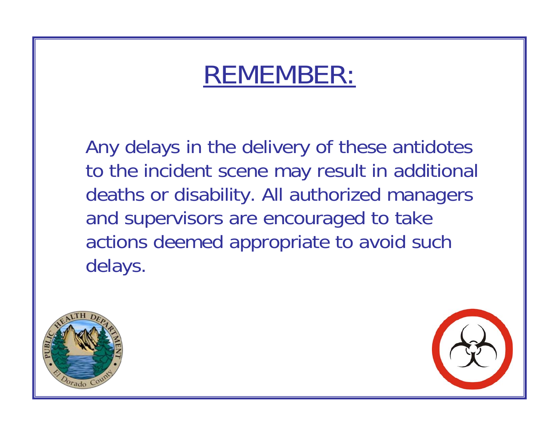#### REMEMBER:

Any delays in the delivery of these antidotes to the incident scene may result in additional deaths or disability. All authorized managers and supervisors are encouraged to take actions deemed appropriate to avoid such delays.



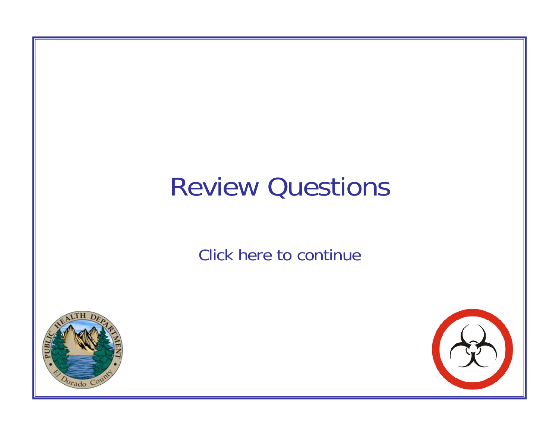

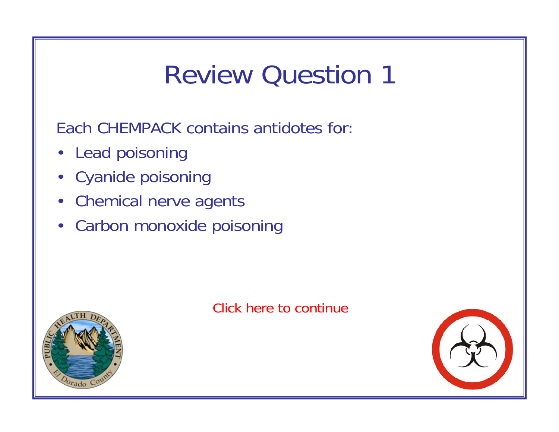Each CHEMPACK contains antidotes for:

- Lead poisoning
- Cyanide poisoning
- Chemical nerve agents
- Carbon monoxide poisoning



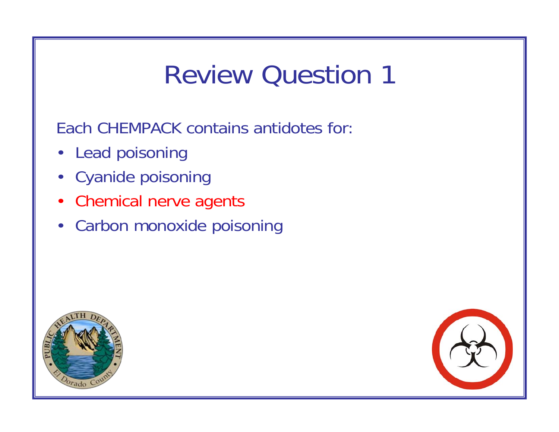Each CHEMPACK contains antidotes for:

- Lead poisoning
- Cyanide poisoning
- Chemical nerve agents
- Carbon monoxide poisoning



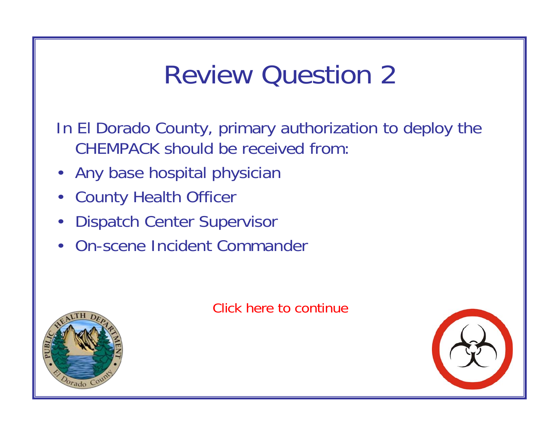In El Dorado County, primary authorization to deploy the CHEMPACK should be received from:

- Any base hospital physician
- County Health Officer
- Dispatch Center Supervisor
- On-scene Incident Commander



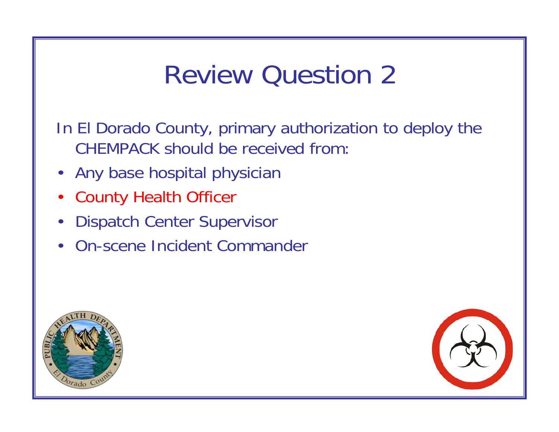In El Dorado County, primary authorization to deploy the CHEMPACK should be received from:

- Any base hospital physician
- County Health Officer
- Dispatch Center Supervisor
- On-scene Incident Commander



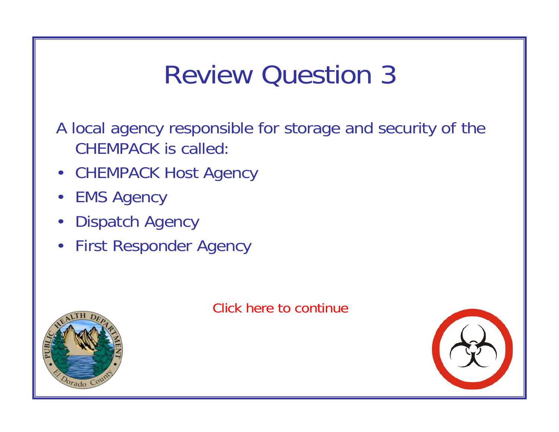A local agency responsible for storage and security of the CHEMPACK is called:

- CHEMPACK Host Agency
- EMS Agency
- Dispatch Agency
- First Responder Agency



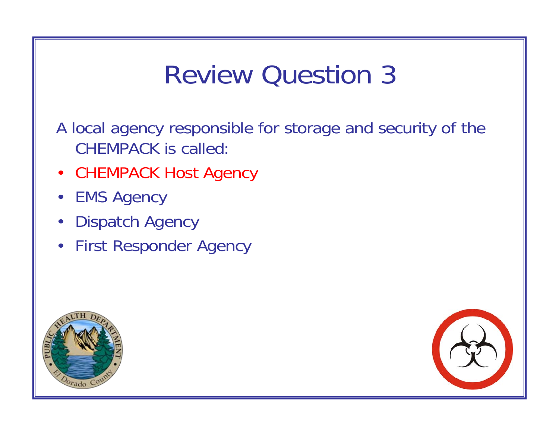A local agency responsible for storage and security of the CHEMPACK is called:

- CHEMPACK Host Agency
- EMS Agency
- Dispatch Agency
- First Responder Agency



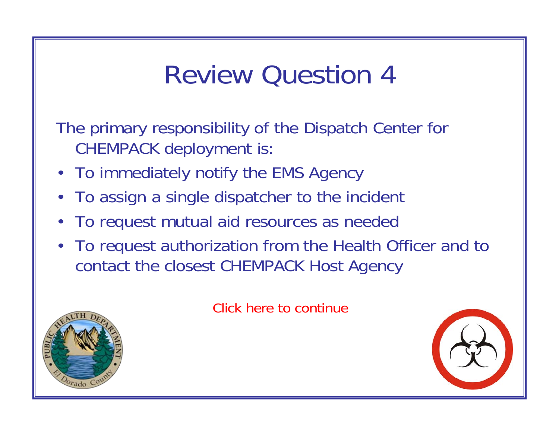The primary responsibility of the Dispatch Center for CHEMPACK deployment is:

- To immediately notify the EMS Agency
- To assign a single dispatcher to the incident
- To request mutual aid resources as needed
- To request authorization from the Health Officer and to contact the closest CHEMPACK Host Agency



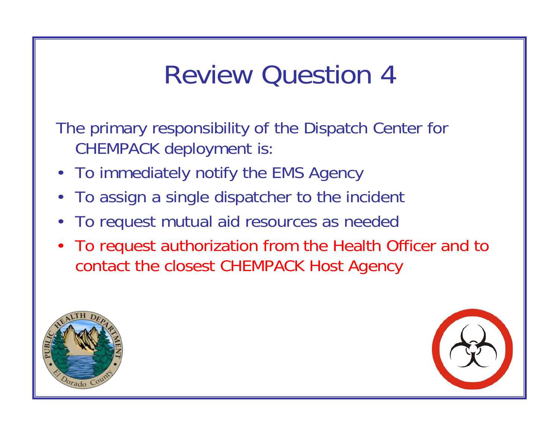The primary responsibility of the Dispatch Center for CHEMPACK deployment is:

- To immediately notify the EMS Agency
- To assign a single dispatcher to the incident
- To request mutual aid resources as needed
- To request authorization from the Health Officer and to contact the closest CHEMPACK Host Agency



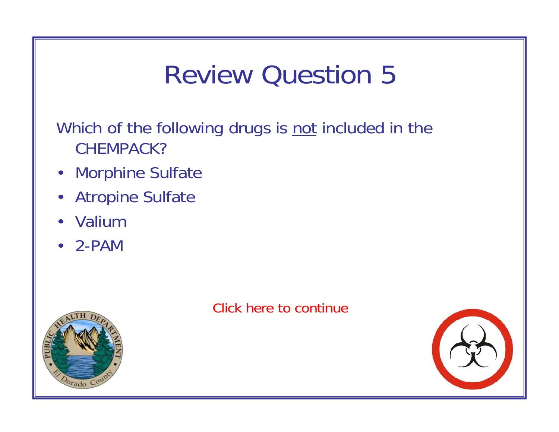Which of the following drugs is not included in the CHEMPACK?

- Morphine Sulfate
- Atropine Sulfate
- Valium
- 2-PAM



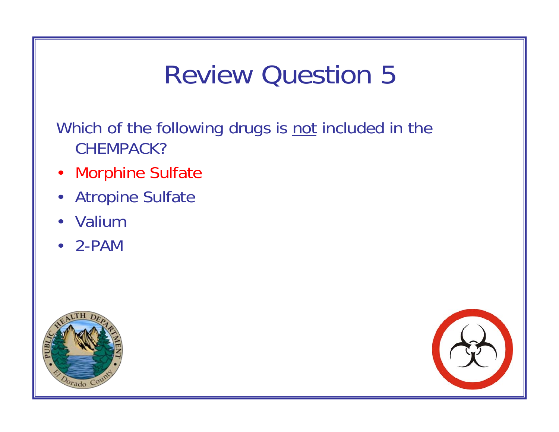Which of the following drugs is not included in the CHEMPACK?

- Morphine Sulfate
- Atropine Sulfate
- Valium
- 2-PAM



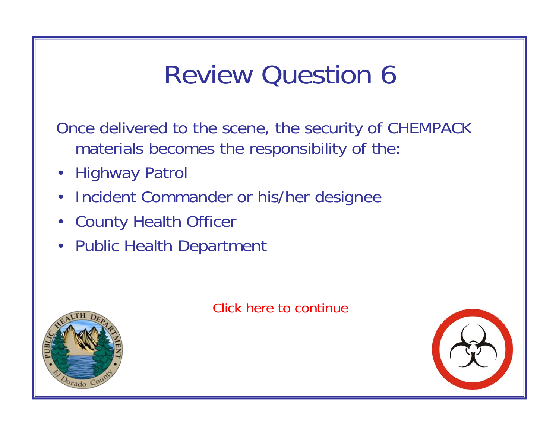Once delivered to the scene, the security of CHEMPACK materials becomes the responsibility of the:

- Highway Patrol
- Incident Commander or his/her designee
- County Health Officer
- Public Health Department





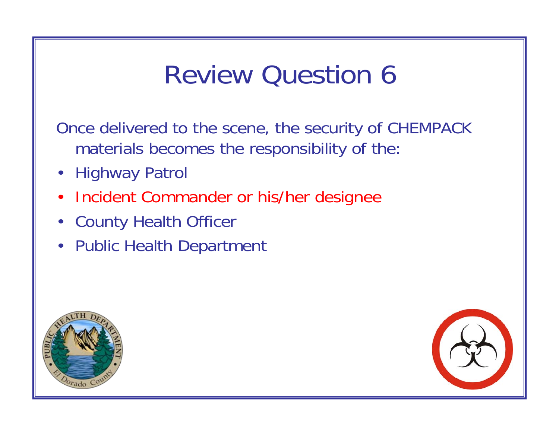Once delivered to the scene, the security of CHEMPACK materials becomes the responsibility of the:

- Highway Patrol
- Incident Commander or his/her designee
- County Health Officer
- Public Health Department



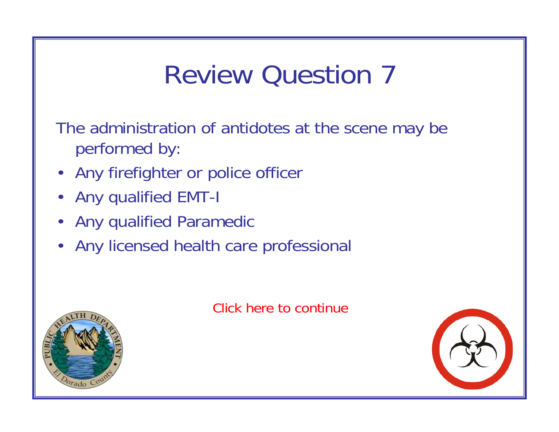The administration of antidotes at the scene may be performed by:

- Any firefighter or police officer
- Any qualified EMT-I
- Any qualified Paramedic
- Any licensed health care professional



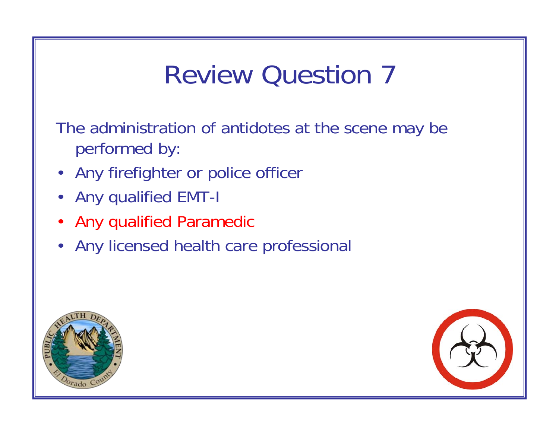The administration of antidotes at the scene may be performed by:

- Any firefighter or police officer
- Any qualified EMT-I
- Any qualified Paramedic
- Any licensed health care professional



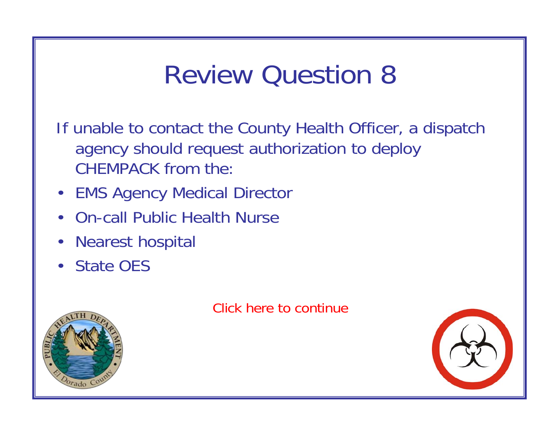If unable to contact the County Health Officer, a dispatch agency should request authorization to deploy CHEMPACK from the:

- EMS Agency Medical Director
- On-call Public Health Nurse
- Nearest hospital
- State OES



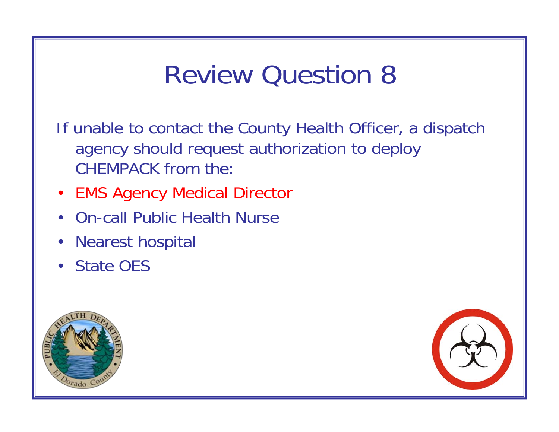If unable to contact the County Health Officer, a dispatch agency should request authorization to deploy CHEMPACK from the:

- EMS Agency Medical Director
- On-call Public Health Nurse
- Nearest hospital
- State OES



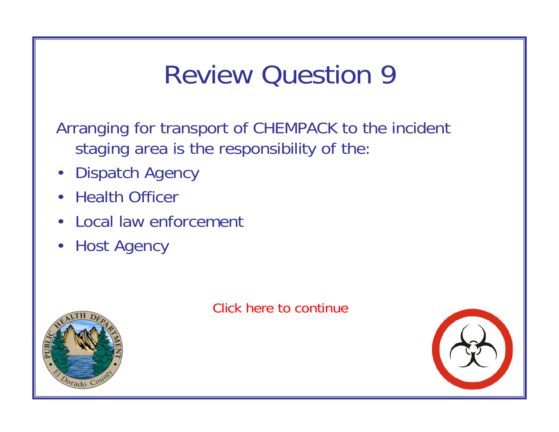Arranging for transport of CHEMPACK to the incident staging area is the responsibility of the:

- Dispatch Agency
- Health Officer
- Local law enforcement
- Host Agency





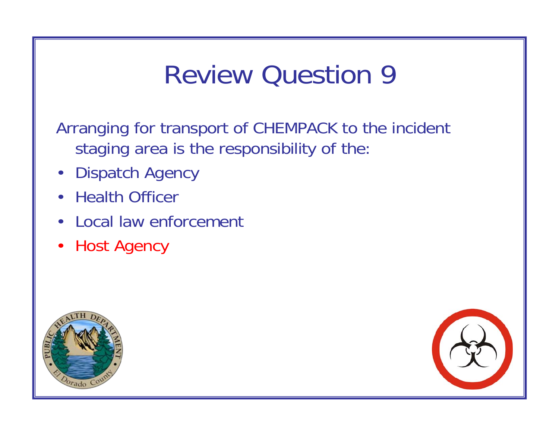Arranging for transport of CHEMPACK to the incident staging area is the responsibility of the:

- Dispatch Agency
- **Health Officer**
- Local law enforcement
- Host Agency



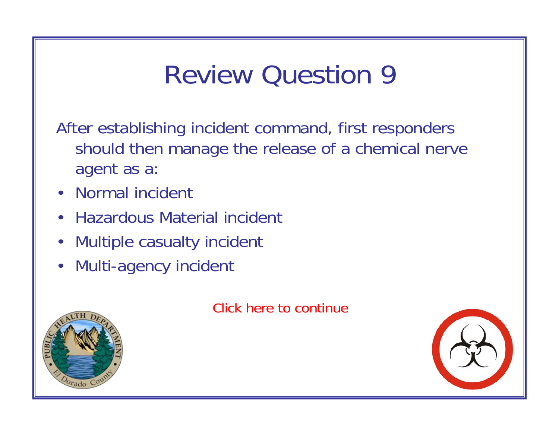After establishing incident command, first responders should then manage the release of a chemical nerve agent as a:

- Normal incident
- Hazardous Material incident
- Multiple casualty incident
- Multi-agency incident



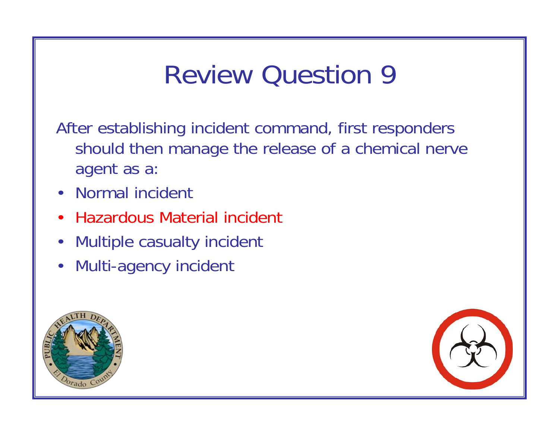After establishing incident command, first responders should then manage the release of a chemical nerve agent as a:

- Normal incident
- Hazardous Material incident
- Multiple casualty incident
- Multi-agency incident



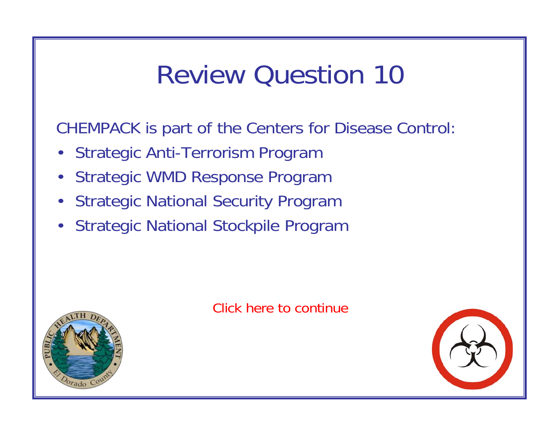CHEMPACK is part of the Centers for Disease Control:

- Strategic Anti-Terrorism Program
- Strategic WMD Response Program
- Strategic National Security Program
- Strategic National Stockpile Program





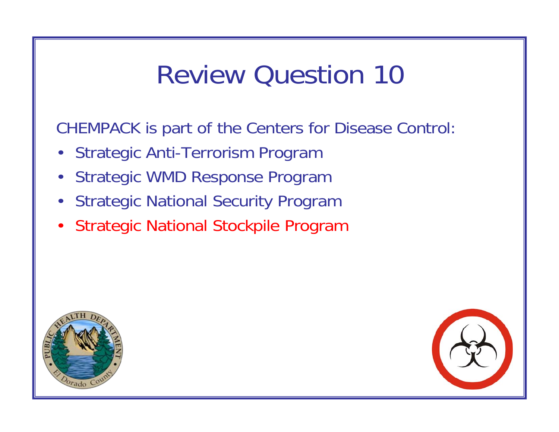CHEMPACK is part of the Centers for Disease Control:

- Strategic Anti-Terrorism Program
- Strategic WMD Response Program
- Strategic National Security Program
- Strategic National Stockpile Program